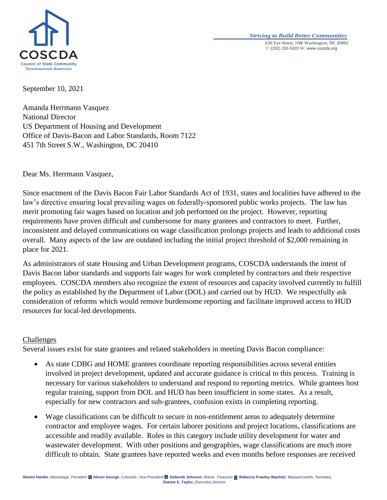

## *Striving to Build Better Communities* 630 Eye Street, NW Washington, DC 20001 T: (202) 293-5820 W: www.coscda.org

September 10, 2021

Amanda Herrmann Vasquez National Director US Department of Housing and Development Office of Davis-Bacon and Labor Standards, Room 7122 451 7th Street S.W., Washington, DC 20410

Dear Ms. Herrmann Vasquez,

Since enactment of the Davis Bacon Fair Labor Standards Act of 1931, states and localities have adhered to the law's directive ensuring local prevailing wages on federally-sponsored public works projects. The law has merit promoting fair wages based on location and job performed on the project. However, reporting requirements have proven difficult and cumbersome for many grantees and contractors to meet. Further, inconsistent and delayed communications on wage classification prolongs projects and leads to additional costs overall. Many aspects of the law are outdated including the initial project threshold of \$2,000 remaining in place for 2021.

As administrators of state Housing and Urban Development programs, COSCDA understands the intent of Davis Bacon labor standards and supports fair wages for work completed by contractors and their respective employees. COSCDA members also recognize the extent of resources and capacity involved currently to fulfill the policy as established by the Department of Labor (DOL) and carried out by HUD. We respectfully ask consideration of reforms which would remove burdensome reporting and facilitate improved access to HUD resources for local-led developments.

## Challenges

Several issues exist for state grantees and related stakeholders in meeting Davis Bacon compliance:

- As state CDBG and HOME grantees coordinate reporting responsibilities across several entities involved in project development, updated and accurate guidance is critical to this process. Training is necessary for various stakeholders to understand and respond to reporting metrics. While grantees host regular training, support from DOL and HUD has been insufficient in some states. As a result, especially for new contractors and sub-grantees, confusion exists in completing reporting.
- Wage classifications can be difficult to secure in non-entitlement areas to adequately determine contractor and employee wages. For certain laborer positions and project locations, classifications are accessible and readily available. Roles in this category include utility development for water and wastewater development. With other positions and geographies, wage classifications are much more difficult to obtain. State grantees have reported weeks and even months before responses are received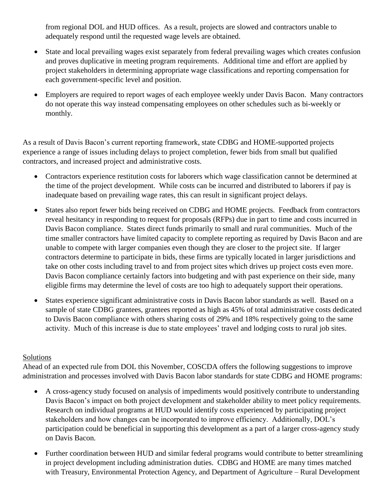from regional DOL and HUD offices. As a result, projects are slowed and contractors unable to adequately respond until the requested wage levels are obtained.

- State and local prevailing wages exist separately from federal prevailing wages which creates confusion and proves duplicative in meeting program requirements. Additional time and effort are applied by project stakeholders in determining appropriate wage classifications and reporting compensation for each government-specific level and position.
- Employers are required to report wages of each employee weekly under Davis Bacon. Many contractors do not operate this way instead compensating employees on other schedules such as bi-weekly or monthly.

As a result of Davis Bacon's current reporting framework, state CDBG and HOME-supported projects experience a range of issues including delays to project completion, fewer bids from small but qualified contractors, and increased project and administrative costs.

- Contractors experience restitution costs for laborers which wage classification cannot be determined at the time of the project development. While costs can be incurred and distributed to laborers if pay is inadequate based on prevailing wage rates, this can result in significant project delays.
- States also report fewer bids being received on CDBG and HOME projects. Feedback from contractors reveal hesitancy in responding to request for proposals (RFPs) due in part to time and costs incurred in Davis Bacon compliance. States direct funds primarily to small and rural communities. Much of the time smaller contractors have limited capacity to complete reporting as required by Davis Bacon and are unable to compete with larger companies even though they are closer to the project site. If larger contractors determine to participate in bids, these firms are typically located in larger jurisdictions and take on other costs including travel to and from project sites which drives up project costs even more. Davis Bacon compliance certainly factors into budgeting and with past experience on their side, many eligible firms may determine the level of costs are too high to adequately support their operations.
- States experience significant administrative costs in Davis Bacon labor standards as well. Based on a sample of state CDBG grantees, grantees reported as high as 45% of total administrative costs dedicated to Davis Bacon compliance with others sharing costs of 29% and 18% respectively going to the same activity. Much of this increase is due to state employees' travel and lodging costs to rural job sites.

## Solutions

Ahead of an expected rule from DOL this November, COSCDA offers the following suggestions to improve administration and processes involved with Davis Bacon labor standards for state CDBG and HOME programs:

- A cross-agency study focused on analysis of impediments would positively contribute to understanding Davis Bacon's impact on both project development and stakeholder ability to meet policy requirements. Research on individual programs at HUD would identify costs experienced by participating project stakeholders and how changes can be incorporated to improve efficiency. Additionally, DOL's participation could be beneficial in supporting this development as a part of a larger cross-agency study on Davis Bacon.
- Further coordination between HUD and similar federal programs would contribute to better streamlining in project development including administration duties. CDBG and HOME are many times matched with Treasury, Environmental Protection Agency, and Department of Agriculture – Rural Development